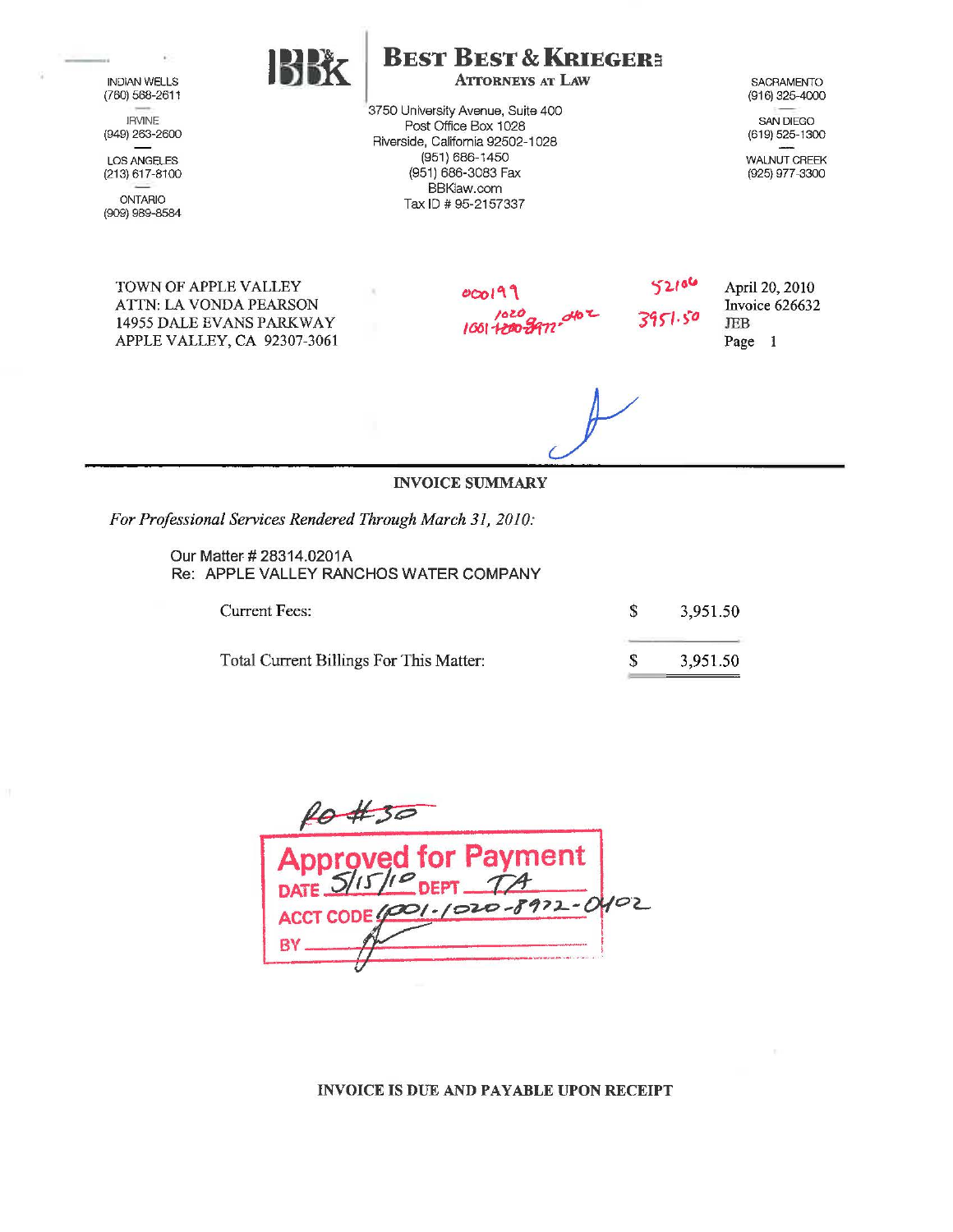INDIAN WELLS (760) 568-2611

IRVINE (949) 263-2600

LOS ANGELES (213) 617-8100

ONTARIO (909) 989-8584

> TOWN OF APPLE VALLEY ATIN: LA VONDA PEARSON 14955 DALE EVANS PARKWAY APPLE VALLEY, CA 92307-3061

3750 University Avenue, Suite 400 Post Office Box 1028 Riverside, California 92502-1028 (951) 686- 1450 (951) 686-3083 Fax BBKlaw.com Tax ID# 95-2157337

**SACRAMENTO** (916) 325-4000

SAN DIEGO (619) 525-1300

WALNUT CREEK (925) 977-3300

IBBK



**BEST BEST & KRIEGER:** 

**ATTORNEYS AT LAW** 

April 20, 2010 Invoice 626632 JEB Page 1

52106

3951.50

INVOICE SUMMARY

*For Professional Services Rendered Through March 31, 2010:* 

Our Matter-# 28314.0201A Re: APPLE VALLEY RANCHOS WATER COMPANY

| <b>Current Fees:</b>                    | 3,951.50 |
|-----------------------------------------|----------|
| Total Current Billings For This Matter: | 3,951.50 |

for Payment  $\mathcal{O}2$  $922 1020 - 8$ ACCT CODE (CO) -ΒY

INVOICE IS DUE AND PAYABLE UPON RECEIPT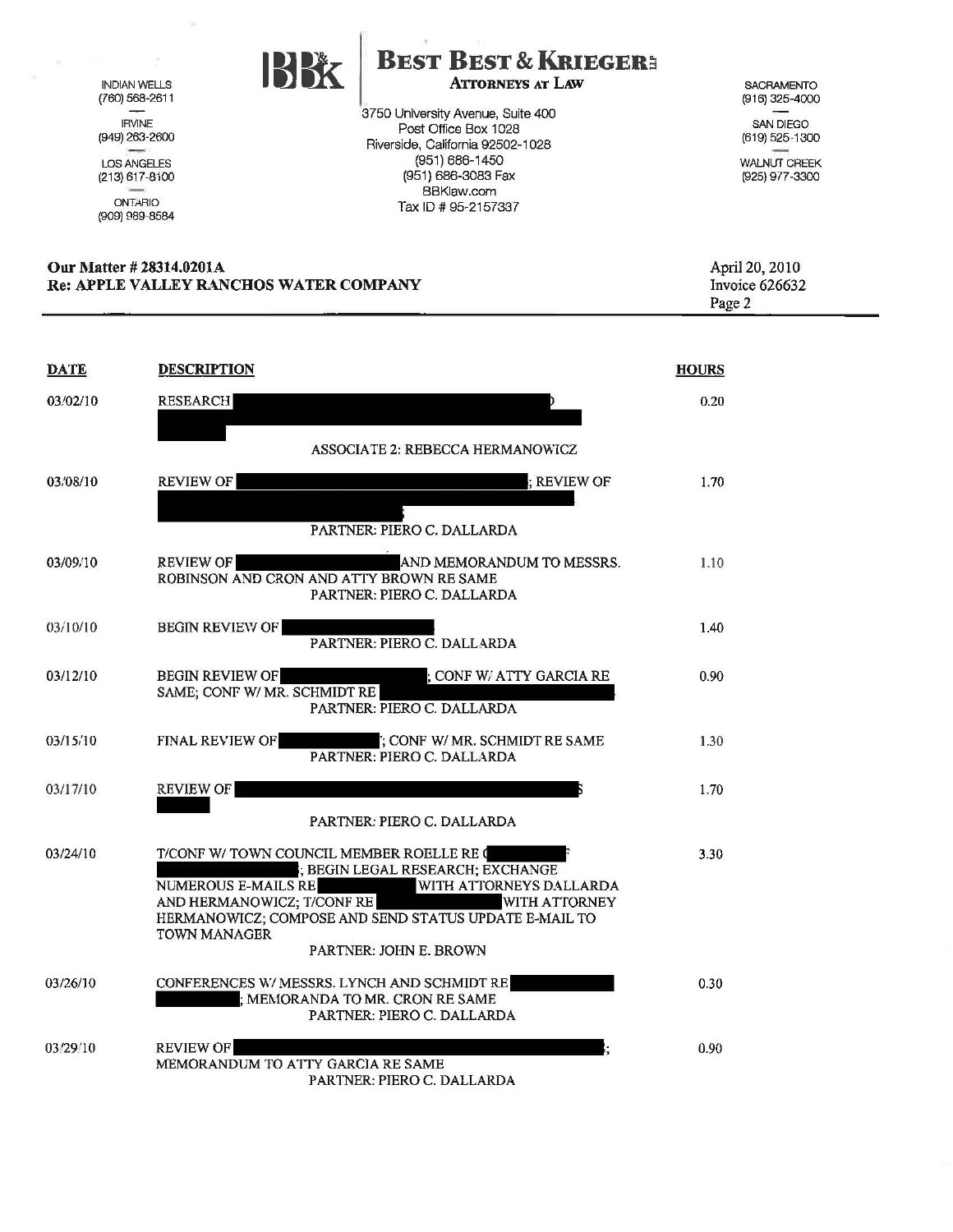## INDIAN WELLS (760) 568-2611 IRVINE

(949) 263-2600

 $\mathbf{u}$ 

LOS ANGELES (213) 617-8100

ONTARIO (909) 989-8584

## 3750 University Avenue, Suite 400 Post Office Box 1028 Riverside, California 92502-1 028 (951) 686-1450 (951) 686-3083 Fax BBKlaw.com Tax ID# 95-2157337

**BEST BEST & KRIEGER: AtTORNEYS AT LAW** 

SACRAMENTO (916) 325-4000

SAN DIEGO (619) 525-1300

WALNUT CREEK (925) 977 -3300

| <b>Our Matter #28314.0201A</b>                | April 20, 2010 |
|-----------------------------------------------|----------------|
| <b>Re: APPLE VALLEY RANCHOS WATER COMPANY</b> | Invoice 626632 |
|                                               | Page 2         |

| <b>DATE</b> | <b>DESCRIPTION</b>                                                                                                                                                                                                                                                           | <b>HOURS</b> |
|-------------|------------------------------------------------------------------------------------------------------------------------------------------------------------------------------------------------------------------------------------------------------------------------------|--------------|
| 03/02/10    | <b>RESEARCH</b>                                                                                                                                                                                                                                                              | 0.20         |
|             | ASSOCIATE 2: REBECCA HERMANOWICZ                                                                                                                                                                                                                                             |              |
| 03/08/10    | <b>REVIEW OF</b><br><b>REVIEW OF</b>                                                                                                                                                                                                                                         | 1.70         |
|             | PARTNER: PIERO C. DALLARDA                                                                                                                                                                                                                                                   |              |
| 03/09/10    | <b>REVIEW OF</b><br>AND MEMORANDUM TO MESSRS.<br>ROBINSON AND CRON AND ATTY BROWN RE SAME<br>PARTNER: PIERO C. DALLARDA                                                                                                                                                      | 1.10         |
| 03/10/10    | <b>BEGIN REVIEW OF</b><br>PARTNER: PIERO C. DALLARDA                                                                                                                                                                                                                         | 1.40         |
| 03/12/10    | <b>BEGIN REVIEW OF</b><br>; CONF W/ ATTY GARCIA RE<br>SAME; CONF W/MR. SCHMIDT RE<br>PARTNER: PIERO C. DALLARDA                                                                                                                                                              | 0.90         |
| 03/15/10    | <b>FINAL REVIEW OF</b><br>; CONF W/ MR. SCHMIDT RE SAME<br>PARTNER: PIERO C. DALLARDA                                                                                                                                                                                        | 1.30         |
| 03/17/10    | <b>REVIEW OF</b><br>PARTNER: PIERO C. DALLARDA                                                                                                                                                                                                                               | 1.70         |
| 03/24/10    | T/CONF W/ TOWN COUNCIL MEMBER ROELLE RE O<br>; BEGIN LEGAL RESEARCH; EXCHANGE<br><b>NUMEROUS E-MAILS RE</b><br>WITH ATTORNEYS DALLARDA<br>AND HERMANOWICZ; T/CONF RE<br><b>WITH ATTORNEY</b><br>HERMANOWICZ; COMPOSE AND SEND STATUS UPDATE E-MAIL TO<br><b>TOWN MANAGER</b> | 3.30         |
|             | <b>PARTNER: JOHN E. BROWN</b>                                                                                                                                                                                                                                                |              |
| 03/26/10    | CONFERENCES W/ MESSRS. LYNCH AND SCHMIDT RE<br>; MEMORANDA TO MR. CRON RE SAME<br>PARTNER: PIERO C. DALLARDA                                                                                                                                                                 | 0.30         |
| 03/29/10    | <b>REVIEW OF</b><br>MEMORANDUM TO ATTY GARCIA RE SAME<br>PARTNER: PIERO C. DALLARDA                                                                                                                                                                                          | 0.90         |